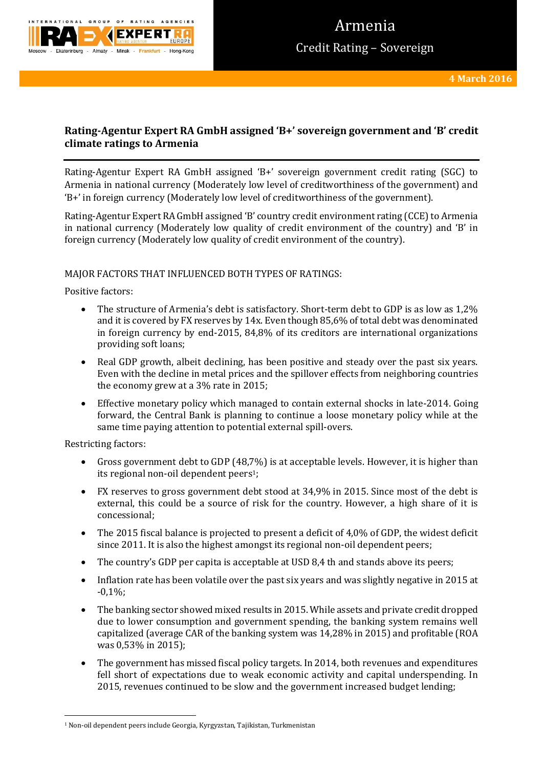

# **Rating-Agentur Expert RA GmbH assigned 'B+' sovereign government and 'B' credit climate ratings to Armenia**

Rating-Agentur Expert RA GmbH assigned 'B+' sovereign government credit rating (SGC) to Armenia in national currency (Moderately low level of creditworthiness of the government) and 'B+' in foreign currency (Moderately low level of creditworthiness of the government).

Rating-Agentur Expert RA GmbH assigned 'B' country credit environment rating (CCE) to Armenia in national currency (Moderately low quality of credit environment of the country) and 'B' in foreign currency (Moderately low quality of credit environment of the country).

# MAJOR FACTORS THAT INFLUENCED BOTH TYPES OF RATINGS:

Positive factors:

- The structure of Armenia's debt is satisfactory. Short-term debt to GDP is as low as 1,2% and it is covered by FX reserves by 14x. Even though 85,6% of total debt was denominated in foreign currency by end-2015, 84,8% of its creditors are international organizations providing soft loans;
- Real GDP growth, albeit declining, has been positive and steady over the past six years. Even with the decline in metal prices and the spillover effects from neighboring countries the economy grew at a 3% rate in 2015;
- Effective monetary policy which managed to contain external shocks in late-2014. Going forward, the Central Bank is planning to continue a loose monetary policy while at the same time paying attention to potential external spill-overs.

Restricting factors:

**.** 

- Gross government debt to GDP (48,7%) is at acceptable levels. However, it is higher than its regional non-oil dependent peers<sup>1</sup>;
- FX reserves to gross government debt stood at 34,9% in 2015. Since most of the debt is external, this could be a source of risk for the country. However, a high share of it is concessional;
- The 2015 fiscal balance is projected to present a deficit of 4,0% of GDP, the widest deficit since 2011. It is also the highest amongst its regional non-oil dependent peers;
- The country's GDP per capita is acceptable at USD 8,4 th and stands above its peers;
- Inflation rate has been volatile over the past six years and was slightly negative in 2015 at -0,1%;
- The banking sector showed mixed results in 2015. While assets and private credit dropped due to lower consumption and government spending, the banking system remains well capitalized (average CAR of the banking system was 14,28% in 2015) and profitable (ROA was 0,53% in 2015);
- The government has missed fiscal policy targets. In 2014, both revenues and expenditures fell short of expectations due to weak economic activity and capital underspending. In 2015, revenues continued to be slow and the government increased budget lending;

<sup>1</sup> Non-oil dependent peers include Georgia, Kyrgyzstan, Tajikistan, Turkmenistan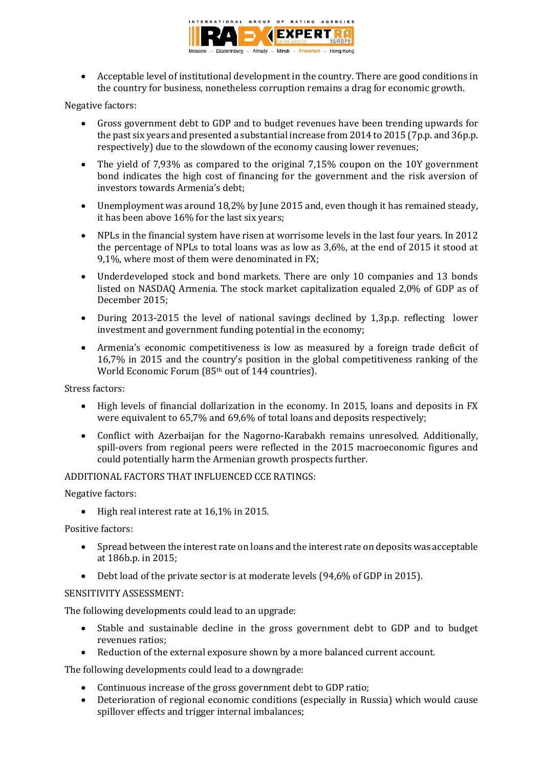

 Acceptable level of institutional development in the country. There are good conditions in the country for business, nonetheless corruption remains a drag for economic growth.

### Negative factors:

- Gross government debt to GDP and to budget revenues have been trending upwards for the past six years and presented a substantial increase from 2014 to 2015 (7p.p. and 36p.p. respectively) due to the slowdown of the economy causing lower revenues;
- The yield of 7,93% as compared to the original 7,15% coupon on the 10Y government bond indicates the high cost of financing for the government and the risk aversion of investors towards Armenia's debt;
- Unemployment was around 18,2% by June 2015 and, even though it has remained steady, it has been above 16% for the last six years;
- NPLs in the financial system have risen at worrisome levels in the last four years. In 2012 the percentage of NPLs to total loans was as low as 3,6%, at the end of 2015 it stood at 9,1%, where most of them were denominated in FX;
- Underdeveloped stock and bond markets. There are only 10 companies and 13 bonds listed on NASDAQ Armenia. The stock market capitalization equaled 2,0% of GDP as of December 2015;
- During 2013-2015 the level of national savings declined by 1,3p.p. reflecting lower investment and government funding potential in the economy;
- Armenia's economic competitiveness is low as measured by a foreign trade deficit of 16,7% in 2015 and the country's position in the global competitiveness ranking of the World Economic Forum (85<sup>th</sup> out of 144 countries).

Stress factors:

- High levels of financial dollarization in the economy. In 2015, loans and deposits in FX were equivalent to 65,7% and 69,6% of total loans and deposits respectively;
- Conflict with Azerbaijan for the Nagorno-Karabakh remains unresolved. Additionally, spill-overs from regional peers were reflected in the 2015 macroeconomic figures and could potentially harm the Armenian growth prospects further.

# ADDITIONAL FACTORS THAT INFLUENCED CCE RATINGS:

Negative factors:

 $\bullet$  High real interest rate at 16,1% in 2015.

Positive factors:

- Spread between the interest rate on loans and the interest rate on deposits was acceptable at 186b.p. in 2015;
- Debt load of the private sector is at moderate levels (94,6% of GDP in 2015).

### SENSITIVITY ASSESSMENT:

The following developments could lead to an upgrade:

- Stable and sustainable decline in the gross government debt to GDP and to budget revenues ratios;
- Reduction of the external exposure shown by a more balanced current account.

The following developments could lead to a downgrade:

- Continuous increase of the gross government debt to GDP ratio;
- Deterioration of regional economic conditions (especially in Russia) which would cause spillover effects and trigger internal imbalances;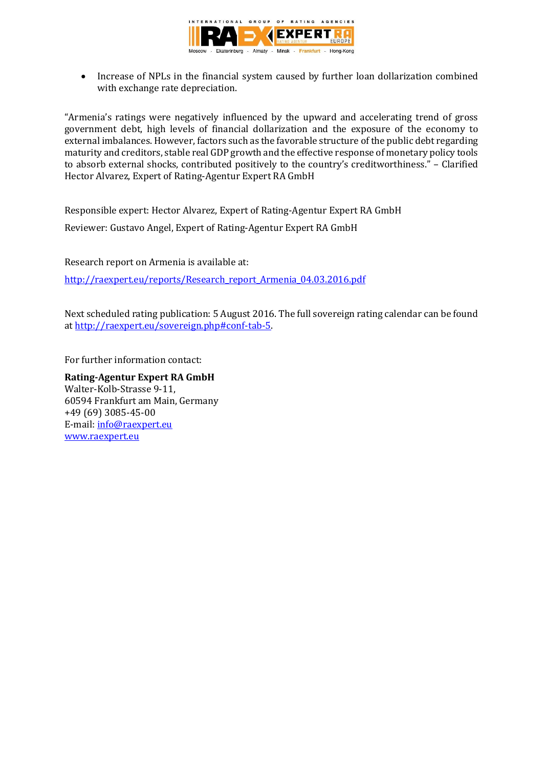

• Increase of NPLs in the financial system caused by further loan dollarization combined with exchange rate depreciation.

"Armenia's ratings were negatively influenced by the upward and accelerating trend of gross government debt, high levels of financial dollarization and the exposure of the economy to external imbalances. However, factors such as the favorable structure of the public debt regarding maturity and creditors, stable real GDP growth and the effective response of monetary policy tools to absorb external shocks, contributed positively to the country's creditworthiness." – Clarified Hector Alvarez, Expert of Rating-Agentur Expert RA GmbH

Responsible expert: Hector Alvarez, Expert of Rating-Agentur Expert RA GmbH Reviewer: Gustavo Angel, Expert of Rating-Agentur Expert RA GmbH

Research report on Armenia is available at: [http://raexpert.eu/reports/Research\\_report\\_Armenia\\_04.03.2016.pdf](http://raexpert.eu/reports/Research_report_Armenia_04.03.2016.pdf)

Next scheduled rating publication: 5 August 2016. The full sovereign rating calendar can be found at [http://raexpert.eu/sovereign.php#conf-tab-5.](http://raexpert.eu/sovereign.php#conf-tab-5)

For further information contact:

**Rating-Agentur Expert RA GmbH** Walter-Kolb-Strasse 9-11, 60594 Frankfurt am Main, Germany +49 (69) 3085-45-00 E-mail[: info@raexpert.eu](mailto:info@raexpert.eu) [www.raexpert.eu](http://raexpert.eu/)